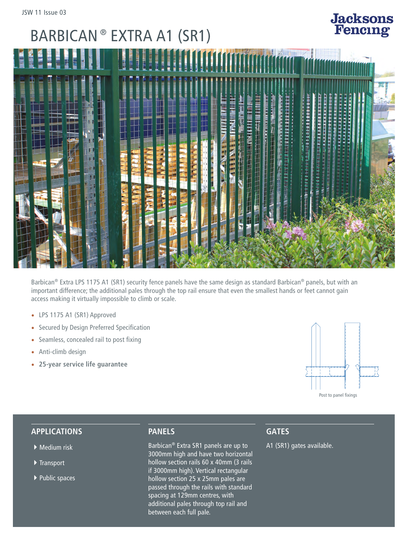# BARBICAN ® EXTRA A1 (SR1)



Barbican® Extra LPS 1175 A1 (SR1) security fence panels have the same design as standard Barbican® panels, but with an important difference; the additional pales through the top rail ensure that even the smallest hands or feet cannot gain access making it virtually impossible to climb or scale.

- LPS 1175 A1 (SR1) Approved
- Secured by Design Preferred Specification
- Seamless, concealed rail to post fixing
- Anti-climb design
- **25-year service life guarantee**



**Jacksons**<br>Fencing

### **APPLICATIONS**

- $\blacktriangleright$  Medium risk
- $\blacktriangleright$  Transport
- $\blacktriangleright$  Public spaces

### **PANELS**

Barbican® Extra SR1 panels are up to 3000mm high and have two horizontal hollow section rails 60 x 40mm (3 rails if 3000mm high). Vertical rectangular hollow section 25 x 25mm pales are passed through the rails with standard spacing at 129mm centres, with additional pales through top rail and between each full pale.

### **GATES**

A1 (SR1) gates available.